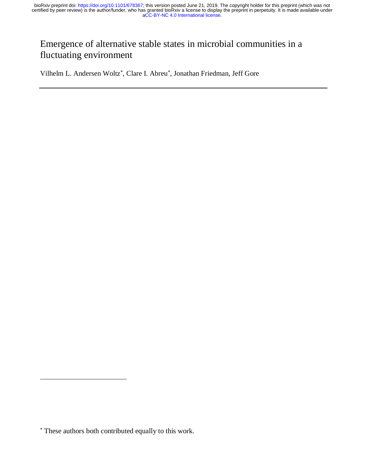### Emergence of alternative stable states in microbial communities in a fluctuating environment

Vilhelm L. Andersen Woltz<sup>\*</sup>, Clare I. Abreu<sup>\*</sup>, Jonathan Friedman, Jeff Gore

 $\overline{a}$ 

<sup>\*</sup> These authors both contributed equally to this work.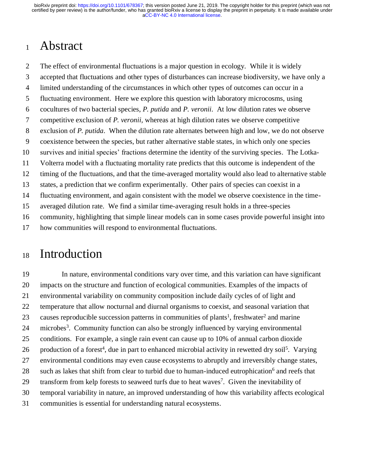# Abstract

 The effect of environmental fluctuations is a major question in ecology. While it is widely accepted that fluctuations and other types of disturbances can increase biodiversity, we have only a limited understanding of the circumstances in which other types of outcomes can occur in a fluctuating environment. Here we explore this question with laboratory microcosms, using cocultures of two bacterial species, *P. putida* and *P. veronii*. At low dilution rates we observe competitive exclusion of *P. veronii,* whereas at high dilution rates we observe competitive exclusion of *P. putida*. When the dilution rate alternates between high and low, we do not observe coexistence between the species, but rather alternative stable states, in which only one species survives and initial species' fractions determine the identity of the surviving species. The Lotka- Volterra model with a fluctuating mortality rate predicts that this outcome is independent of the timing of the fluctuations, and that the time-averaged mortality would also lead to alternative stable states, a prediction that we confirm experimentally. Other pairs of species can coexist in a fluctuating environment, and again consistent with the model we observe coexistence in the time- averaged dilution rate. We find a similar time-averaging result holds in a three-species community, highlighting that simple linear models can in some cases provide powerful insight into

## how communities will respond to environmental fluctuations.

# 18 Introduction

 In nature, environmental conditions vary over time, and this variation can have significant impacts on the structure and function of ecological communities. Examples of the impacts of environmental variability on community composition include daily cycles of of light and temperature that allow nocturnal and diurnal organisms to coexist, and seasonal variation that 23 causes reproducible succession patterns in communities of plants<sup>1</sup>, freshwater<sup>2</sup> and marine 24 microbes<sup>3</sup>. Community function can also be strongly influenced by varying environmental conditions. For example, a single rain event can cause up to 10% of annual carbon dioxide 26 production of a forest<sup>4</sup>, due in part to enhanced microbial activity in rewetted dry soil<sup>5</sup>. Varying environmental conditions may even cause ecosystems to abruptly and irreversibly change states, 28 such as lakes that shift from clear to turbid due to human-induced eutrophication<sup>6</sup> and reefs that 29 transform from kelp forests to seaweed turfs due to heat waves<sup>7</sup>. Given the inevitability of temporal variability in nature, an improved understanding of how this variability affects ecological communities is essential for understanding natural ecosystems.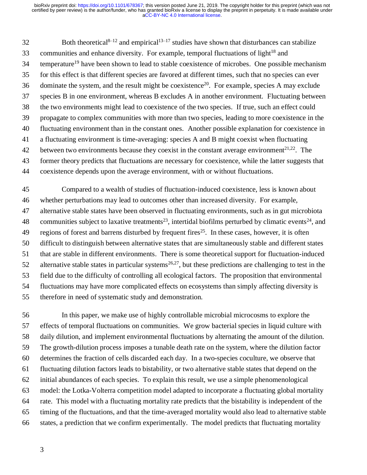Both theoretical<sup>8–12</sup> and empirical<sup>13–17</sup> studies have shown that disturbances can stabilize 33 communities and enhance diversity. For example, temporal fluctuations of light<sup>18</sup> and temperature<sup>19</sup> have been shown to lead to stable coexistence of microbes. One possible mechanism for this effect is that different species are favored at different times, such that no species can ever 36 dominate the system, and the result might be coexistence<sup>20</sup>. For example, species A may exclude species B in one environment, whereas B excludes A in another environment. Fluctuating between the two environments might lead to coexistence of the two species. If true, such an effect could propagate to complex communities with more than two species, leading to more coexistence in the fluctuating environment than in the constant ones. Another possible explanation for coexistence in a fluctuating environment is time-averaging: species A and B might coexist when fluctuating 42 between two environments because they coexist in the constant average environment<sup>21,22</sup>. The former theory predicts that fluctuations are necessary for coexistence, while the latter suggests that coexistence depends upon the average environment, with or without fluctuations.

 Compared to a wealth of studies of fluctuation-induced coexistence, less is known about whether perturbations may lead to outcomes other than increased diversity. For example, alternative stable states have been observed in fluctuating environments, such as in gut microbiota 48 communities subject to laxative treatments<sup>23</sup>, intertidal biofilms perturbed by climatic events<sup>24</sup>, and 49 regions of forest and barrens disturbed by frequent fires<sup>25</sup>. In these cases, however, it is often difficult to distinguish between alternative states that are simultaneously stable and different states that are stable in different environments. There is some theoretical support for fluctuation-induced 52 alternative stable states in particular systems<sup>26,27</sup>, but these predictions are challenging to test in the field due to the difficulty of controlling all ecological factors. The proposition that environmental fluctuations may have more complicated effects on ecosystems than simply affecting diversity is therefore in need of systematic study and demonstration.

 In this paper, we make use of highly controllable microbial microcosms to explore the effects of temporal fluctuations on communities. We grow bacterial species in liquid culture with daily dilution, and implement environmental fluctuations by alternating the amount of the dilution. The growth-dilution process imposes a tunable death rate on the system, where the dilution factor determines the fraction of cells discarded each day. In a two-species coculture, we observe that fluctuating dilution factors leads to bistability, or two alternative stable states that depend on the initial abundances of each species. To explain this result, we use a simple phenomenological model: the Lotka-Volterra competition model adapted to incorporate a fluctuating global mortality rate. This model with a fluctuating mortality rate predicts that the bistability is independent of the timing of the fluctuations, and that the time-averaged mortality would also lead to alternative stable states, a prediction that we confirm experimentally. The model predicts that fluctuating mortality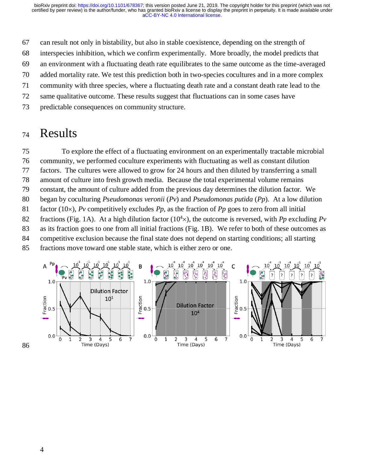- can result not only in bistability, but also in stable coexistence, depending on the strength of
- interspecies inhibition, which we confirm experimentally. More broadly, the model predicts that
- an environment with a fluctuating death rate equilibrates to the same outcome as the time-averaged
- added mortality rate. We test this prediction both in two-species cocultures and in a more complex
- community with three species, where a fluctuating death rate and a constant death rate lead to the
- same qualitative outcome. These results suggest that fluctuations can in some cases have
- predictable consequences on community structure.

## Results

 To explore the effect of a fluctuating environment on an experimentally tractable microbial community, we performed coculture experiments with fluctuating as well as constant dilution factors. The cultures were allowed to grow for 24 hours and then diluted by transferring a small amount of culture into fresh growth media. Because the total experimental volume remains constant, the amount of culture added from the previous day determines the dilution factor. We began by coculturing *Pseudomonas veronii* (*Pv*) and *Pseudomonas putida* (*Pp*). At a low dilution 81 factor (10 $\times$ ), *Pv* competitively excludes *Pp*, as the fraction of *Pp* goes to zero from all initial 62 fractions (Fig. 1A). At a high dilution factor  $(10^4 \times)$ , the outcome is reversed, with *Pp* excluding *Pv*  as its fraction goes to one from all initial fractions (Fig. 1B). We refer to both of these outcomes as competitive exclusion because the final state does not depend on starting conditions; all starting fractions move toward one stable state, which is either zero or one.

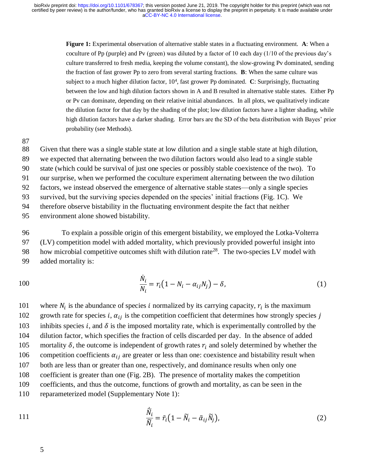**Figure 1:** Experimental observation of alternative stable states in a fluctuating environment. **A**: When a coculture of Pp (purple) and Pv (green) was diluted by a factor of 10 each day (1/10 of the previous day's culture transferred to fresh media, keeping the volume constant), the slow-growing Pv dominated, sending the fraction of fast grower Pp to zero from several starting fractions. **B**: When the same culture was subject to a much higher dilution factor, 10<sup>4</sup>, fast grower Pp dominated. **C**: Surprisingly, fluctuating between the low and high dilution factors shown in A and B resulted in alternative stable states. Either Pp or Pv can dominate, depending on their relative initial abundances. In all plots, we qualitatively indicate the dilution factor for that day by the shading of the plot; low dilution factors have a lighter shading, while high dilution factors have a darker shading. Error bars are the SD of the beta distribution with Bayes' prior probability (see Methods).

87

88 Given that there was a single stable state at low dilution and a single stable state at high dilution,

89 we expected that alternating between the two dilution factors would also lead to a single stable

90 state (which could be survival of just one species or possibly stable coexistence of the two). To

91 our surprise, when we performed the coculture experiment alternating between the two dilution

92 factors, we instead observed the emergence of alternative stable states—only a single species

93 survived, but the surviving species depended on the species' initial fractions (Fig. 1C). We

94 therefore observe bistability in the fluctuating environment despite the fact that neither

95 environment alone showed bistability.

96 To explain a possible origin of this emergent bistability, we employed the Lotka-Volterra 97 (LV) competition model with added mortality, which previously provided powerful insight into 98 how microbial competitive outcomes shift with dilution rate<sup>28</sup>. The two-species LV model with

99 added mortality is:

100 
$$
\frac{\dot{N}_i}{N_i} = r_i \left( 1 - N_i - \alpha_{ij} N_j \right) - \delta,
$$
 (1)

101 where  $N_i$  is the abundance of species *i* normalized by its carrying capacity,  $r_i$  is the maximum

102 growth rate for species i,  $\alpha_{ij}$  is the competition coefficient that determines how strongly species j

103 inhibits species *i*, and  $\delta$  is the imposed mortality rate, which is experimentally controlled by the

104 dilution factor, which specifies the fraction of cells discarded per day. In the absence of added

105 mortality  $\delta$ , the outcome is independent of growth rates  $r_i$  and solely determined by whether the

106 competition coefficients  $\alpha_{ij}$  are greater or less than one: coexistence and bistability result when

- 107 both are less than or greater than one, respectively, and dominance results when only one
- 108 coefficient is greater than one (Fig. 2B). The presence of mortality makes the competition
- 109 coefficients, and thus the outcome, functions of growth and mortality, as can be seen in the
- 110 reparameterized model (Supplementary Note 1):

111 
$$
\frac{\dot{\tilde{N}_i}}{\tilde{N}_i} = \tilde{r}_i \left( 1 - \tilde{N}_i - \tilde{\alpha}_{ij} \tilde{N}_j \right),
$$
 (2)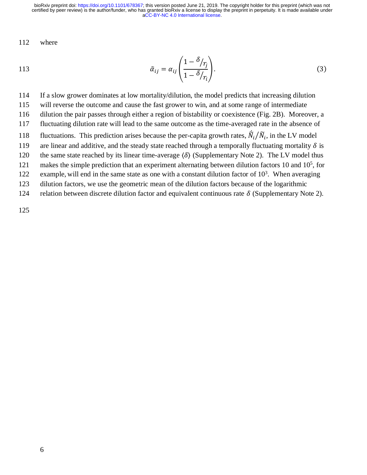112 where

113 
$$
\tilde{\alpha}_{ij} = \alpha_{ij} \left( \frac{1 - \delta_{/r_j}}{1 - \delta_{/r_i}} \right).
$$
 (3)

114 If a slow grower dominates at low mortality/dilution, the model predicts that increasing dilution

115 will reverse the outcome and cause the fast grower to win, and at some range of intermediate

116 dilution the pair passes through either a region of bistability or coexistence (Fig. 2B). Moreover, a

- 117 fluctuating dilution rate will lead to the same outcome as the time-averaged rate in the absence of
- 118 fluctuations. This prediction arises because the per-capita growth rates,  $\dot{N}_i/\tilde{N}_i$ , in the LV model
- 119 are linear and additive, and the steady state reached through a temporally fluctuating mortality  $\delta$  is
- 120 the same state reached by its linear time-average  $\langle \delta \rangle$  (Supplementary Note 2). The LV model thus
- 121 makes the simple prediction that an experiment alternating between dilution factors 10 and  $10<sup>5</sup>$ , for
- 122 example, will end in the same state as one with a constant dilution factor of  $10<sup>3</sup>$ . When averaging
- 123 dilution factors, we use the geometric mean of the dilution factors because of the logarithmic
- 124 relation between discrete dilution factor and equivalent continuous rate  $\delta$  (Supplementary Note 2).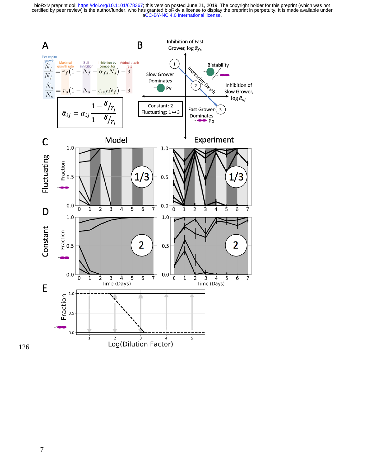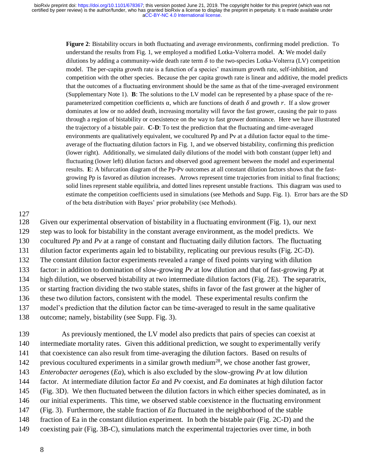**Figure 2**: Bistability occurs in both fluctuating and average environments, confirming model prediction. To understand the results from Fig. 1, we employed a modified Lotka-Volterra model. **A**: We model daily dilutions by adding a community-wide death rate term  $\delta$  to the two-species Lotka-Volterra (LV) competition model. The per-capita growth rate is a function of a species' maximum growth rate, self-inhibition, and competition with the other species. Because the per capita growth rate is linear and additive, the model predicts that the outcomes of a fluctuating environment should be the same as that of the time-averaged environment (Supplementary Note 1). **B**: The solutions to the LV model can be represented by a phase space of the reparameterized competition coefficients  $\alpha$ , which are functions of death  $\delta$  and growth r. If a slow grower dominates at low or no added death, increasing mortality will favor the fast grower, causing the pair to pass through a region of bistability or coexistence on the way to fast grower dominance. Here we have illustrated the trajectory of a bistable pair. **C-D**: To test the prediction that the fluctuating and time-averaged environments are qualitatively equivalent, we cocultured Pp and Pv at a dilution factor equal to the timeaverage of the fluctuating dilution factors in Fig. 1, and we observed bistability, confirming this prediction (lower right). Additionally, we simulated daily dilutions of the model with both constant (upper left) and fluctuating (lower left) dilution factors and observed good agreement between the model and experimental results. **E**: A bifurcation diagram of the Pp-Pv outcomes at all constant dilution factors shows that the fastgrowing Pp is favored as dilution increases. Arrows represent time trajectories from initial to final fractions; solid lines represent stable equilibria, and dotted lines represent unstable fractions. This diagram was used to estimate the competition coefficients used in simulations (see Methods and Supp. Fig. 1). Error bars are the SD of the beta distribution with Bayes' prior probability (see Methods).

127

128 Given our experimental observation of bistability in a fluctuating environment (Fig. 1), our next

- 129 step was to look for bistability in the constant average environment, as the model predicts. We
- 130 cocultured *Pp* and *Pv* at a range of constant and fluctuating daily dilution factors. The fluctuating
- 131 dilution factor experiments again led to bistability, replicating our previous results (Fig. 2C-D).
- 132 The constant dilution factor experiments revealed a range of fixed points varying with dilution
- 133 factor: in addition to domination of slow-growing *Pv* at low dilution and that of fast-growing *Pp* at
- 134 high dilution, we observed bistability at two intermediate dilution factors (Fig. 2E). The separatrix,
- 135 or starting fraction dividing the two stable states, shifts in favor of the fast grower at the higher of
- 136 these two dilution factors, consistent with the model. These experimental results confirm the
- 137 model's prediction that the dilution factor can be time-averaged to result in the same qualitative
- 138 outcome; namely, bistability (see Supp. Fig. 3).

 As previously mentioned, the LV model also predicts that pairs of species can coexist at intermediate mortality rates. Given this additional prediction, we sought to experimentally verify that coexistence can also result from time-averaging the dilution factors. Based on results of 142 previous cocultured experiments in a similar growth medium<sup>28</sup>, we chose another fast grower, *Enterobacter aerogenes* (*Ea*), which is also excluded by the slow-growing *Pv* at low dilution factor. At intermediate dilution factor *Ea* and *Pv* coexist, and *Ea* dominates at high dilution factor (Fig. 3D). We then fluctuated between the dilution factors in which either species dominated, as in our initial experiments. This time, we observed stable coexistence in the fluctuating environment (Fig. 3). Furthermore, the stable fraction of *Ea* fluctuated in the neighborhood of the stable fraction of Ea in the constant dilution experiment. In both the bistable pair (Fig. 2C-D) and the coexisting pair (Fig. 3B-C), simulations match the experimental trajectories over time, in both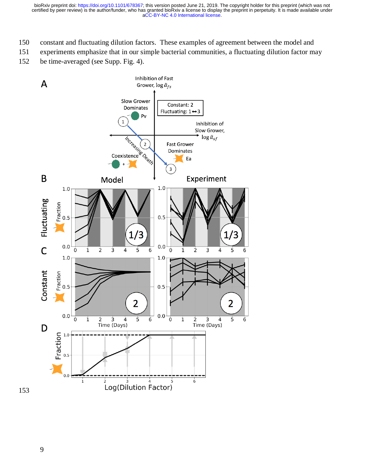- constant and fluctuating dilution factors. These examples of agreement between the model and
- experiments emphasize that in our simple bacterial communities, a fluctuating dilution factor may
- be time-averaged (see Supp. Fig. 4).

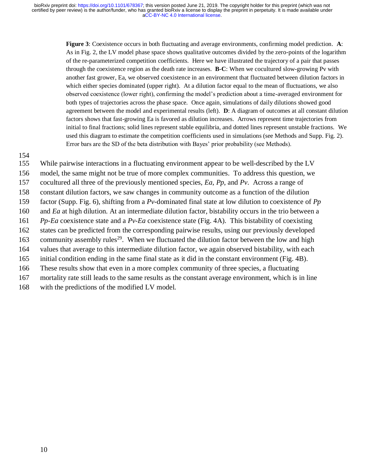**Figure 3**: Coexistence occurs in both fluctuating and average environments, confirming model prediction. **A**: As in Fig. 2, the LV model phase space shows qualitative outcomes divided by the zero-points of the logarithm of the re-parameterized competition coefficients. Here we have illustrated the trajectory of a pair that passes through the coexistence region as the death rate increases. **B-C**: When we cocultured slow-growing Pv with another fast grower, Ea, we observed coexistence in an environment that fluctuated between dilution factors in which either species dominated (upper right). At a dilution factor equal to the mean of fluctuations, we also observed coexistence (lower right), confirming the model's prediction about a time-averaged environment for both types of trajectories across the phase space. Once again, simulations of daily dilutions showed good agreement between the model and experimental results (left). **D**: A diagram of outcomes at all constant dilution factors shows that fast-growing Ea is favored as dilution increases. Arrows represent time trajectories from initial to final fractions; solid lines represent stable equilibria, and dotted lines represent unstable fractions. We used this diagram to estimate the competition coefficients used in simulations (see Methods and Supp. Fig. 2). Error bars are the SD of the beta distribution with Bayes' prior probability (see Methods).

154

 While pairwise interactions in a fluctuating environment appear to be well-described by the LV model, the same might not be true of more complex communities. To address this question, we cocultured all three of the previously mentioned species, *Ea*, *Pp*, and *Pv*. Across a range of constant dilution factors, we saw changes in community outcome as a function of the dilution factor (Supp. Fig. 6), shifting from a *Pv*-dominated final state at low dilution to coexistence of *Pp* and *Ea* at high dilution. At an intermediate dilution factor, bistability occurs in the trio between a *Pp*-*Ea* coexistence state and a *Pv*-*Ea* coexistence state (Fig. 4A). This bistability of coexisting states can be predicted from the corresponding pairwise results, using our previously developed 163 community assembly rules<sup>29</sup>. When we fluctuated the dilution factor between the low and high values that average to this intermediate dilution factor, we again observed bistability, with each initial condition ending in the same final state as it did in the constant environment (Fig. 4B). These results show that even in a more complex community of three species, a fluctuating mortality rate still leads to the same results as the constant average environment, which is in line with the predictions of the modified LV model.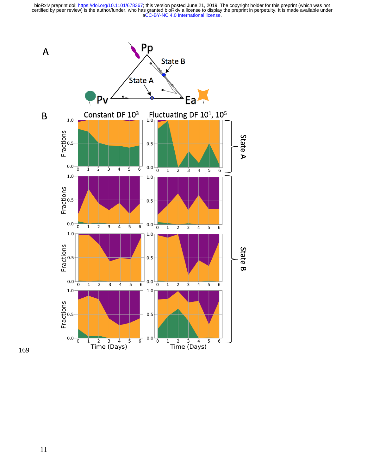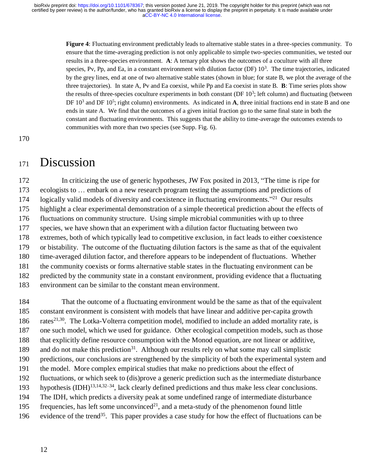**Figure 4**: Fluctuating environment predictably leads to alternative stable states in a three-species community. To ensure that the time-averaging prediction is not only applicable to simple two-species communities, we tested our results in a three-species environment. **A**: A ternary plot shows the outcomes of a coculture with all three species, Pv, Pp, and Ea, in a constant environment with dilution factor (DF)  $10<sup>3</sup>$ . The time trajectories, indicated by the grey lines, end at one of two alternative stable states (shown in blue; for state B, we plot the average of the three trajectories). In state A, Pv and Ea coexist, while Pp and Ea coexist in state B. **B**: Time series plots show the results of three-species coculture experiments in both constant ( $DF 10<sup>3</sup>$ ; left column) and fluctuating (between DF  $10<sup>3</sup>$  and DF  $10<sup>5</sup>$ ; right column) environments. As indicated in **A**, three initial fractions end in state B and one ends in state A. We find that the outcomes of a given initial fraction go to the same final state in both the constant and fluctuating environments. This suggests that the ability to time-average the outcomes extends to communities with more than two species (see Supp. Fig. 6).

#### 170

### <sup>171</sup> Discussion

 In criticizing the use of generic hypotheses, JW Fox posited in 2013, "The time is ripe for ecologists to … embark on a new research program testing the assumptions and predictions of 174 logically valid models of diversity and coexistence in fluctuating environments."<sup>21</sup> Our results highlight a clear experimental demonstration of a simple theoretical prediction about the effects of fluctuations on community structure. Using simple microbial communities with up to three species, we have shown that an experiment with a dilution factor fluctuating between two extremes, both of which typically lead to competitive exclusion, in fact leads to either coexistence or bistability. The outcome of the fluctuating dilution factors is the same as that of the equivalent time-averaged dilution factor, and therefore appears to be independent of fluctuations. Whether the community coexists or forms alternative stable states in the fluctuating environment can be predicted by the community state in a constant environment, providing evidence that a fluctuating environment can be similar to the constant mean environment.

 That the outcome of a fluctuating environment would be the same as that of the equivalent constant environment is consistent with models that have linear and additive per-capita growth 186 rates<sup>21,30</sup>. The Lotka-Volterra competition model, modified to include an added mortality rate, is one such model, which we used for guidance. Other ecological competition models, such as those that explicitly define resource consumption with the Monod equation, are not linear or additive, 189 and do not make this prediction<sup>31</sup>. Although our results rely on what some may call simplistic predictions, our conclusions are strengthened by the simplicity of both the experimental system and the model. More complex empirical studies that make no predictions about the effect of fluctuations, or which seek to (dis)prove a generic prediction such as the intermediate disturbance hypothesis  $(IDH)^{13,14,32-34}$ , lack clearly defined predictions and thus make less clear conclusions. The IDH, which predicts a diversity peak at some undefined range of intermediate disturbance 195 frequencies, has left some unconvinced<sup>21</sup>, and a meta-study of the phenomenon found little 196 evidence of the trend<sup>35</sup>. This paper provides a case study for how the effect of fluctuations can be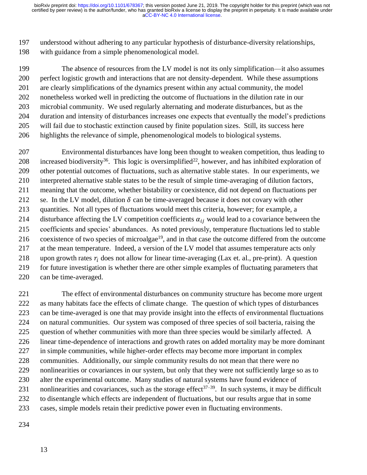understood without adhering to any particular hypothesis of disturbance-diversity relationships, with guidance from a simple phenomenological model.

 The absence of resources from the LV model is not its only simplification—it also assumes perfect logistic growth and interactions that are not density-dependent. While these assumptions are clearly simplifications of the dynamics present within any actual community, the model nonetheless worked well in predicting the outcome of fluctuations in the dilution rate in our microbial community. We used regularly alternating and moderate disturbances, but as the duration and intensity of disturbances increases one expects that eventually the model's predictions will fail due to stochastic extinction caused by finite population sizes. Still, its success here highlights the relevance of simple, phenomenological models to biological systems.

 Environmental disturbances have long been thought to weaken competition, thus leading to 208 increased biodiversity<sup>36</sup>. This logic is oversimplified<sup>22</sup>, however, and has inhibited exploration of other potential outcomes of fluctuations, such as alternative stable states. In our experiments, we interpreted alternative stable states to be the result of simple time-averaging of dilution factors, meaning that the outcome, whether bistability or coexistence, did not depend on fluctuations per 212 se. In the LV model, dilution  $\delta$  can be time-averaged because it does not covary with other quantities. Not all types of fluctuations would meet this criteria, however; for example, a 214 disturbance affecting the LV competition coefficients  $\alpha_{ij}$  would lead to a covariance between the coefficients and species' abundances. As noted previously, temperature fluctuations led to stable 216 coexistence of two species of microalgae<sup>19</sup>, and in that case the outcome differed from the outcome at the mean temperature. Indeed, a version of the LV model that assumes temperature acts only 218 upon growth rates  $r_i$  does not allow for linear time-averaging (Lax et. al., pre-print). A question for future investigation is whether there are other simple examples of fluctuating parameters that can be time-averaged.

 The effect of environmental disturbances on community structure has become more urgent as many habitats face the effects of climate change. The question of which types of disturbances can be time-averaged is one that may provide insight into the effects of environmental fluctuations on natural communities. Our system was composed of three species of soil bacteria, raising the 225 question of whether communities with more than three species would be similarly affected. A linear time-dependence of interactions and growth rates on added mortality may be more dominant in simple communities, while higher-order effects may become more important in complex communities. Additionally, our simple community results do not mean that there were no nonlinearities or covariances in our system, but only that they were not sufficiently large so as to alter the experimental outcome. Many studies of natural systems have found evidence of 231 nonlinearities and covariances, such as the storage effect<sup>37–39</sup>. In such systems, it may be difficult to disentangle which effects are independent of fluctuations, but our results argue that in some cases, simple models retain their predictive power even in fluctuating environments.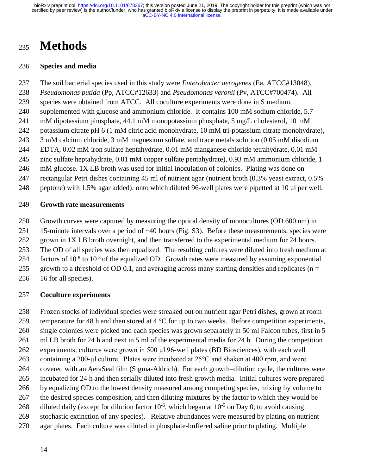# **Methods**

#### **Species and media**

 The soil bacterial species used in this study were *Enterobacter aerogenes* (Ea, ATCC#13048), *Pseudomonas putida* (Pp, ATCC#12633) and *Pseudomonas veronii* (Pv, ATCC#700474). All species were obtained from ATCC. All coculture experiments were done in S medium, supplemented with glucose and ammonium chloride. It contains 100 mM sodium chloride, 5.7 mM dipotassium phosphate, 44.1 mM monopotassium phosphate, 5 mg/L cholesterol, 10 mM potassium citrate pH 6 (1 mM citric acid monohydrate, 10 mM tri-potassium citrate monohydrate), 3 mM calcium chloride, 3 mM magnesium sulfate, and trace metals solution (0.05 mM disodium EDTA, 0.02 mM iron sulfate heptahydrate, 0.01 mM manganese chloride tetrahydrate, 0.01 mM zinc sulfate heptahydrate, 0.01 mM copper sulfate pentahydrate), 0.93 mM ammonium chloride, 1 mM glucose. 1X LB broth was used for initial inoculation of colonies. Plating was done on rectangular Petri dishes containing 45 ml of nutrient agar (nutrient broth (0.3% yeast extract, 0.5% peptone) with 1.5% agar added), onto which diluted 96-well plates were pipetted at 10 ul per well.

#### **Growth rate measurements**

- Growth curves were captured by measuring the optical density of monocultures (OD 600 nm) in
- 15-minute intervals over a period of ~40 hours (Fig. S3). Before these measurements, species were
- 252 grown in 1X LB broth overnight, and then transferred to the experimental medium for 24 hours.
- The OD of all species was then equalized. The resulting cultures were diluted into fresh medium at
- 254 factors of  $10^{-8}$  to  $10^{-3}$  of the equalized OD. Growth rates were measured by assuming exponential
- 255 growth to a threshold of OD 0.1, and averaging across many starting densities and replicates ( $n =$
- 16 for all species).

### **Coculture experiments**

 Frozen stocks of individual species were streaked out on nutrient agar Petri dishes, grown at room 259 temperature for 48 h and then stored at 4  $^{\circ}$ C for up to two weeks. Before competition experiments, single colonies were picked and each species was grown separately in 50 ml Falcon tubes, first in 5 ml LB broth for 24 h and next in 5 ml of the experimental media for 24 h. During the competition experiments, cultures were grown in 500 μl 96-well plates (BD Biosciences), with each well containing a 200-μl culture. Plates were incubated at 25°C and shaken at 400 rpm, and were covered with an AeraSeal film (Sigma-Aldrich). For each growth–dilution cycle, the cultures were incubated for 24 h and then serially diluted into fresh growth media. Initial cultures were prepared by equalizing OD to the lowest density measured among competing species, mixing by volume to the desired species composition, and then diluting mixtures by the factor to which they would be 268 diluted daily (except for dilution factor  $10^{-6}$ , which began at  $10^{-5}$  on Day 0, to avoid causing stochastic extinction of any species). Relative abundances were measured by plating on nutrient agar plates. Each culture was diluted in phosphate-buffered saline prior to plating. Multiple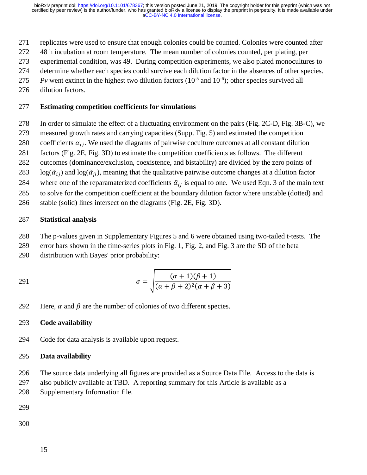- replicates were used to ensure that enough colonies could be counted. Colonies were counted after
- 48 h incubation at room temperature. The mean number of colonies counted, per plating, per
- experimental condition, was 49. During competition experiments, we also plated monocultures to
- determine whether each species could survive each dilution factor in the absences of other species.
- 275 *Pv* went extinct in the highest two dilution factors  $(10^{-5} \text{ and } 10^{-6})$ ; other species survived all
- dilution factors.

#### **Estimating competition coefficients for simulations**

- In order to simulate the effect of a fluctuating environment on the pairs (Fig. 2C-D, Fig. 3B-C), we
- measured growth rates and carrying capacities (Supp. Fig. 5) and estimated the competition
- 280 coefficients  $\alpha_{ij}$ . We used the diagrams of pairwise coculture outcomes at all constant dilution
- factors (Fig. 2E, Fig. 3D) to estimate the competition coefficients as follows. The different
- outcomes (dominance/exclusion, coexistence, and bistability) are divided by the zero points of
- $\log(\tilde{\alpha}_{ij})$  and  $\log(\tilde{\alpha}_{ji})$ , meaning that the qualitative pairwise outcome changes at a dilution factor
- 284 where one of the reparamaterized coefficients  $\tilde{\alpha}_{ij}$  is equal to one. We used Eqn. 3 of the main text
- to solve for the competition coefficient at the boundary dilution factor where unstable (dotted) and
- stable (solid) lines intersect on the diagrams (Fig. 2E, Fig. 3D).

### **Statistical analysis**

- The p-values given in Supplementary Figures 5 and 6 were obtained using two-tailed t-tests. The
- error bars shown in the time-series plots in Fig. 1, Fig. 2, and Fig. 3 are the SD of the beta
- distribution with Bayes' prior probability:

291 
$$
\sigma = \sqrt{\frac{(\alpha+1)(\beta+1)}{(\alpha+\beta+2)^2(\alpha+\beta+3)}}
$$

- 292 Here,  $\alpha$  and  $\beta$  are the number of colonies of two different species.
- **Code availability**
- Code for data analysis is available upon request.

### **Data availability**

- The source data underlying all figures are provided as a Source Data File. Access to the data is
- also publicly available at TBD. A reporting summary for this Article is available as a
- Supplementary Information file.
- 
-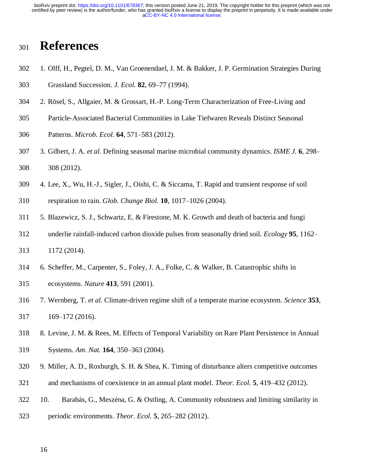## **References**

- 1. Olff, H., Pegtel, D. M., Van Groenendael, J. M. & Bakker, J. P. Germination Strategies During
- Grassland Succession. *J. Ecol.* **82**, 69–77 (1994).
- 2. Rösel, S., Allgaier, M. & Grossart, H.-P. Long-Term Characterization of Free-Living and
- Particle-Associated Bacterial Communities in Lake Tiefwaren Reveals Distinct Seasonal
- Patterns. *Microb. Ecol.* **64**, 571–583 (2012).
- 3. Gilbert, J. A. *et al.* Defining seasonal marine microbial community dynamics. *ISME J.* **6**, 298– 308 (2012).
- 4. Lee, X., Wu, H.-J., Sigler, J., Oishi, C. & Siccama, T. Rapid and transient response of soil respiration to rain. *Glob. Change Biol.* **10**, 1017–1026 (2004).
- 5. Blazewicz, S. J., Schwartz, E. & Firestone, M. K. Growth and death of bacteria and fungi
- underlie rainfall-induced carbon dioxide pulses from seasonally dried soil. *Ecology* **95**, 1162–

1172 (2014).

- 6. Scheffer, M., Carpenter, S., Foley, J. A., Folke, C. & Walker, B. Catastrophic shifts in ecosystems. *Nature* **413**, 591 (2001).
- 7. Wernberg, T. *et al.* Climate-driven regime shift of a temperate marine ecosystem. *Science* **353**, 169–172 (2016).
- 8. Levine, J. M. & Rees, M. Effects of Temporal Variability on Rare Plant Persistence in Annual
- Systems. *Am. Nat.* **164**, 350–363 (2004).
- 9. Miller, A. D., Roxburgh, S. H. & Shea, K. Timing of disturbance alters competitive outcomes
- and mechanisms of coexistence in an annual plant model. *Theor. Ecol.* **5**, 419–432 (2012).
- 10. Barabás, G., Meszéna, G. & Ostling, A. Community robustness and limiting similarity in
- periodic environments. *Theor. Ecol.* **5**, 265–282 (2012).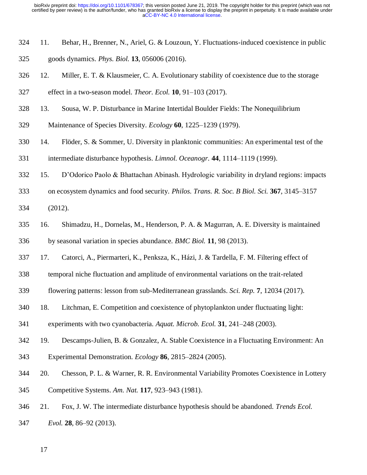- 11. Behar, H., Brenner, N., Ariel, G. & Louzoun, Y. Fluctuations-induced coexistence in public
- goods dynamics. *Phys. Biol.* **13**, 056006 (2016).
- 12. Miller, E. T. & Klausmeier, C. A. Evolutionary stability of coexistence due to the storage
- effect in a two-season model. *Theor. Ecol.* **10**, 91–103 (2017).
- 13. Sousa, W. P. Disturbance in Marine Intertidal Boulder Fields: The Nonequilibrium
- Maintenance of Species Diversity. *Ecology* **60**, 1225–1239 (1979).
- 14. Flöder, S. & Sommer, U. Diversity in planktonic communities: An experimental test of the intermediate disturbance hypothesis. *Limnol. Oceanogr.* **44**, 1114–1119 (1999).
- 15. D'Odorico Paolo & Bhattachan Abinash. Hydrologic variability in dryland regions: impacts
- on ecosystem dynamics and food security. *Philos. Trans. R. Soc. B Biol. Sci.* **367**, 3145–3157
- (2012).
- 16. Shimadzu, H., Dornelas, M., Henderson, P. A. & Magurran, A. E. Diversity is maintained by seasonal variation in species abundance. *BMC Biol.* **11**, 98 (2013).
- 17. Catorci, A., Piermarteri, K., Penksza, K., Házi, J. & Tardella, F. M. Filtering effect of
- temporal niche fluctuation and amplitude of environmental variations on the trait-related
- flowering patterns: lesson from sub-Mediterranean grasslands. *Sci. Rep.* **7**, 12034 (2017).
- 18. Litchman, E. Competition and coexistence of phytoplankton under fluctuating light:
- experiments with two cyanobacteria. *Aquat. Microb. Ecol.* **31**, 241–248 (2003).
- 19. Descamps-Julien, B. & Gonzalez, A. Stable Coexistence in a Fluctuating Environment: An Experimental Demonstration. *Ecology* **86**, 2815–2824 (2005).
- 
- 20. Chesson, P. L. & Warner, R. R. Environmental Variability Promotes Coexistence in Lottery Competitive Systems. *Am. Nat.* **117**, 923–943 (1981).
- 21. Fox, J. W. The intermediate disturbance hypothesis should be abandoned. *Trends Ecol.*
- *Evol.* **28**, 86–92 (2013).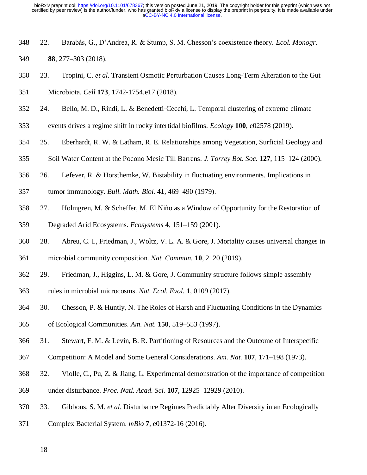- 22. Barabás, G., D'Andrea, R. & Stump, S. M. Chesson's coexistence theory. *Ecol. Monogr.* **88**, 277–303 (2018).
- 23. Tropini, C. *et al.* Transient Osmotic Perturbation Causes Long-Term Alteration to the Gut Microbiota. *Cell* **173**, 1742-1754.e17 (2018).
- 24. Bello, M. D., Rindi, L. & Benedetti‐Cecchi, L. Temporal clustering of extreme climate
- events drives a regime shift in rocky intertidal biofilms. *Ecology* **100**, e02578 (2019).
- 25. Eberhardt, R. W. & Latham, R. E. Relationships among Vegetation, Surficial Geology and
- Soil Water Content at the Pocono Mesic Till Barrens. *J. Torrey Bot. Soc.* **127**, 115–124 (2000).
- 26. Lefever, R. & Horsthemke, W. Bistability in fluctuating environments. Implications in
- tumor immunology. *Bull. Math. Biol.* **41**, 469–490 (1979).
- 27. Holmgren, M. & Scheffer, M. El Niño as a Window of Opportunity for the Restoration of
- Degraded Arid Ecosystems. *Ecosystems* **4**, 151–159 (2001).
- 28. Abreu, C. I., Friedman, J., Woltz, V. L. A. & Gore, J. Mortality causes universal changes in microbial community composition. *Nat. Commun.* **10**, 2120 (2019).
- 29. Friedman, J., Higgins, L. M. & Gore, J. Community structure follows simple assembly rules in microbial microcosms. *Nat. Ecol. Evol.* **1**, 0109 (2017).
- 30. Chesson, P. & Huntly, N. The Roles of Harsh and Fluctuating Conditions in the Dynamics of Ecological Communities. *Am. Nat.* **150**, 519–553 (1997).
- 31. Stewart, F. M. & Levin, B. R. Partitioning of Resources and the Outcome of Interspecific
- Competition: A Model and Some General Considerations. *Am. Nat.* **107**, 171–198 (1973).
- 32. Violle, C., Pu, Z. & Jiang, L. Experimental demonstration of the importance of competition under disturbance. *Proc. Natl. Acad. Sci.* **107**, 12925–12929 (2010).
- 33. Gibbons, S. M. *et al.* Disturbance Regimes Predictably Alter Diversity in an Ecologically
- Complex Bacterial System. *mBio* **7**, e01372-16 (2016).